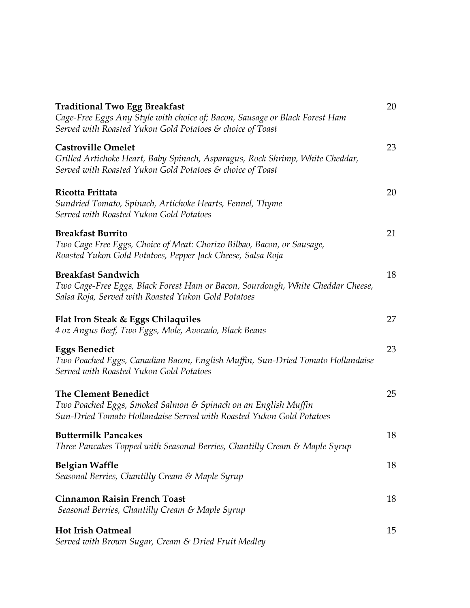| <b>Traditional Two Egg Breakfast</b><br>Cage-Free Eggs Any Style with choice of; Bacon, Sausage or Black Forest Ham<br>Served with Roasted Yukon Gold Potatoes & choice of Toast | 20 |
|----------------------------------------------------------------------------------------------------------------------------------------------------------------------------------|----|
| <b>Castroville Omelet</b><br>Grilled Artichoke Heart, Baby Spinach, Asparagus, Rock Shrimp, White Cheddar,<br>Served with Roasted Yukon Gold Potatoes & choice of Toast          | 23 |
| Ricotta Frittata<br>Sundried Tomato, Spinach, Artichoke Hearts, Fennel, Thyme<br>Served with Roasted Yukon Gold Potatoes                                                         | 20 |
| <b>Breakfast Burrito</b><br>Two Cage Free Eggs, Choice of Meat: Chorizo Bilbao, Bacon, or Sausage,<br>Roasted Yukon Gold Potatoes, Pepper Jack Cheese, Salsa Roja                | 21 |
| <b>Breakfast Sandwich</b><br>Two Cage-Free Eggs, Black Forest Ham or Bacon, Sourdough, White Cheddar Cheese,<br>Salsa Roja, Served with Roasted Yukon Gold Potatoes              | 18 |
| <b>Flat Iron Steak &amp; Eggs Chilaquiles</b><br>4 oz Angus Beef, Two Eggs, Mole, Avocado, Black Beans                                                                           | 27 |
| <b>Eggs Benedict</b><br>Two Poached Eggs, Canadian Bacon, English Muffin, Sun-Dried Tomato Hollandaise<br>Served with Roasted Yukon Gold Potatoes                                | 23 |
| <b>The Clement Benedict</b><br>Two Poached Eggs, Smoked Salmon & Spinach on an English Muffin<br>Sun-Dried Tomato Hollandaise Served with Roasted Yukon Gold Potatoes            | 25 |
| <b>Buttermilk Pancakes</b><br>Three Pancakes Topped with Seasonal Berries, Chantilly Cream & Maple Syrup                                                                         | 18 |
| Belgian Waffle<br>Seasonal Berries, Chantilly Cream & Maple Syrup                                                                                                                | 18 |
| <b>Cinnamon Raisin French Toast</b><br>Seasonal Berries, Chantilly Cream & Maple Syrup                                                                                           | 18 |
| <b>Hot Irish Oatmeal</b><br>Served with Brown Sugar, Cream & Dried Fruit Medley                                                                                                  | 15 |